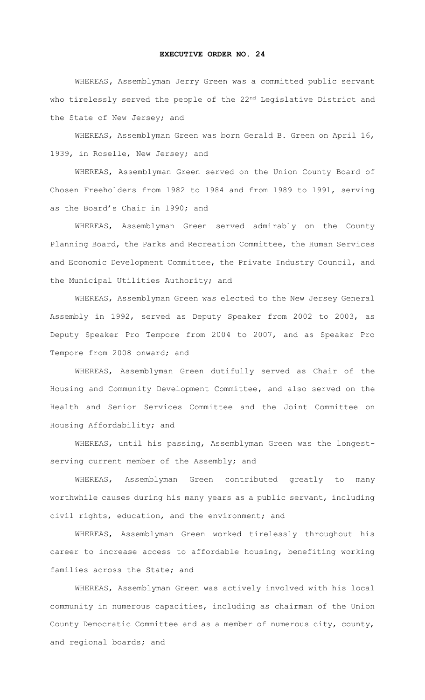## **EXECUTIVE ORDER NO. 24**

WHEREAS**,** Assemblyman Jerry Green was a committed public servant who tirelessly served the people of the 22<sup>nd</sup> Legislative District and the State of New Jersey; and

WHEREAS, Assemblyman Green was born Gerald B. Green on April 16, 1939, in Roselle, New Jersey; and

WHEREAS, Assemblyman Green served on the Union County Board of Chosen Freeholders from 1982 to 1984 and from 1989 to 1991, serving as the Board's Chair in 1990; and

WHEREAS, Assemblyman Green served admirably on the County Planning Board, the Parks and Recreation Committee, the Human Services and Economic Development Committee, the Private Industry Council, and the Municipal Utilities Authority; and

WHEREAS, Assemblyman Green was elected to the New Jersey General Assembly in 1992, served as Deputy Speaker from 2002 to 2003, as Deputy Speaker Pro Tempore from 2004 to 2007, and as Speaker Pro Tempore from 2008 onward; and

WHEREAS, Assemblyman Green dutifully served as Chair of the Housing and Community Development Committee, and also served on the Health and Senior Services Committee and the Joint Committee on Housing Affordability; and

WHEREAS, until his passing, Assemblyman Green was the longestserving current member of the Assembly; and

WHEREAS, Assemblyman Green contributed greatly to many worthwhile causes during his many years as a public servant, including civil rights, education, and the environment; and

WHEREAS, Assemblyman Green worked tirelessly throughout his career to increase access to affordable housing, benefiting working families across the State; and

WHEREAS, Assemblyman Green was actively involved with his local community in numerous capacities, including as chairman of the Union County Democratic Committee and as a member of numerous city, county, and regional boards; and